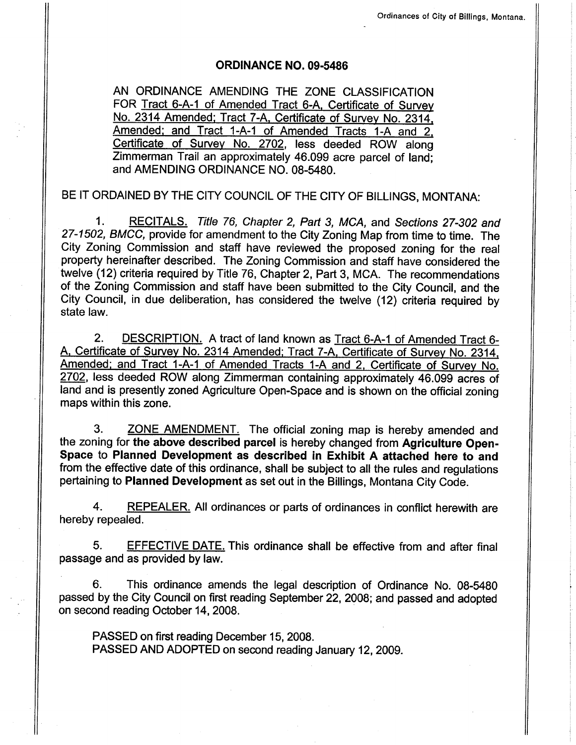#### oRD|NANCE NO. 09-5486

AN ORDINANCE AMENDING THE ZONE CLASSIFICATION FOR Tract 6-A-1 of Amended Tract 6-A, Certificate of Survey No. 2314 Amended; Tract 7-A, Certificate of Survey No. 2314, Amended; and Tract 1-A-1 of Amended Tracts 1-A and 2, Certificate of Survey No. 2702, less deeded ROW along Zimmerman Trail an approximately 46.099 acre parcel of Iand; and AMENDING ORDINANCE NO. 08-5480.

BE IT ORDAINED BY THE CITY COUNCIL OF THE CITY OF BILLINGS, MONTANA:

1. RECITALS. Title 76, Chapter 2, Part 3, MCA, and Sections 27-302 and 27-1502, BMCC, provide for amendment to the City Zoning Map from time to time. The City Zoning Commission and staff have reviewed the proposed zoning for the real property hereinafter described. The Zoning Commission and staff have considered the twelve (12) criteria required by Title 76, Chapter 2, Part 3, MCA. The recommendations of the Zoning Commission and staff have been submitted to the City Council, and the City Council, in due deliberation, has considered the twelve (12) criteria required by state law.

2. DESCRIPTION. A tract of land known as Tract 6-A-1 of Amended Tract 6-A. Certificate of Survev No. 2314 Amended: Tract 7-4. Certificate of Survey No. 2314. Amended: and Tract 1-A-1 of Amended Tracts 1-A and 2. Certificate of Survev No. 2702, less deeded ROW along Zimmerman containing approximately 46.099 acres of land and is presently zoned Agriculture Open-Space and is shown on the official zoning maps within this zone.

3. ZONE AMENDMENT. The official zoning map is hereby amended and the zoning for the above described parcel is hereby changed from Agriculture Open-Space to Planned Development as described in Exhibit A attached here to and from the effective date of this ordinance, shall be subject to all the rules and regulations pertaining to Planned Development as set out in the Billings, Montana City Code.

4. REPEALER. All ordinances or parts of ordinances in conflict herewith are hereby repealed.

5. EFFECTIVE DATE. This ordinance shall be effective from and after final passage and as provided by law.

6. This ordinance amends the legal description of Ordinance No. 08-5480 passed by the City Council on first reading September 22,2008; and passed and adopted on second reading October 14,2008.

PASSED on first reading December 15, 2008. PASSED AND ADOPTED on second reading January 12, 2009.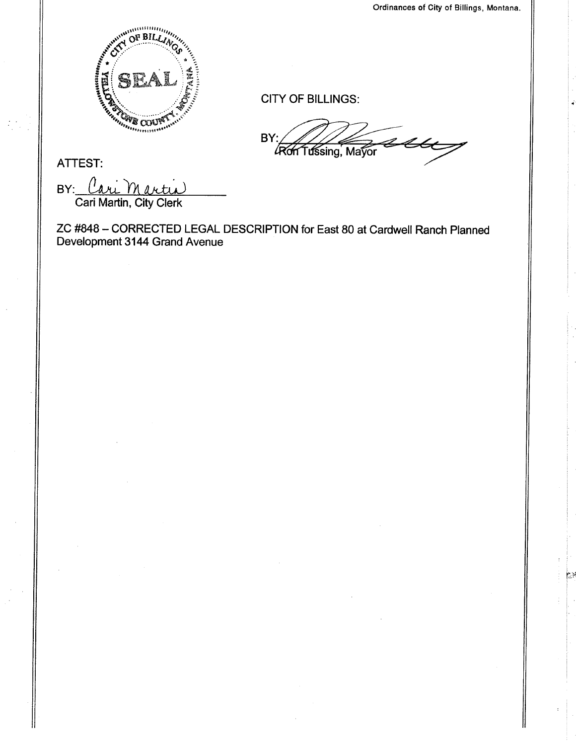$\mathbb{R}^n$ 



CITY OF BILLINGS:

BY:  $\mathscr{Z}$ **Ron Tussing, Mayor** 

ATTEST:

BY: Cari Martin

ZC #848 - CORRECTED LEGAL DESCRIPTION for East 80 at Cardwell Ranch Planned Development 3144 Grand Avenue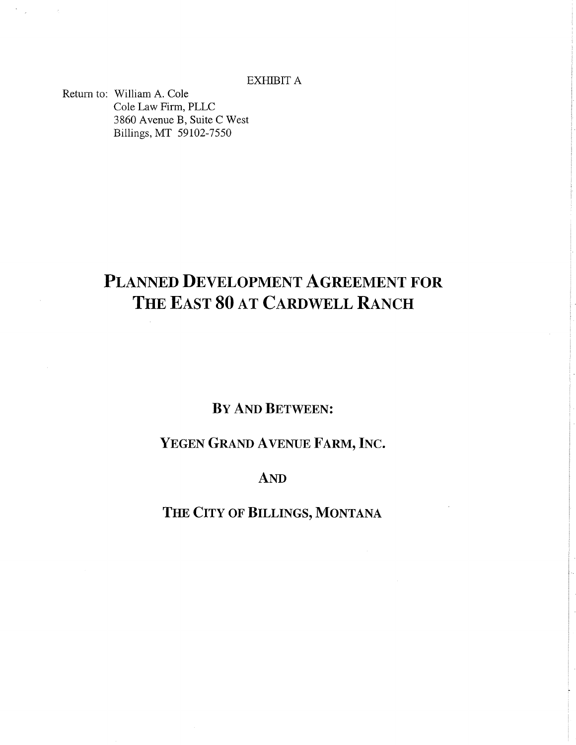EXHIBIT A

Retum to: William A. Cole Cole Law Firm. PLLC 3860 Avenue B, Suite C West Billings, MT 59102-7550

 $\hat{\mathcal{L}}$ 

# PLANNED DEVELOPMENT AGREEMENT FOR THE EAST 80 AT CARDWELL RANCH

## BY AND BETWEEN:

## YEGEN GRAND AVENUE FARM, INC.

### AND

## THE CITY OF BILLINGS, MONTANA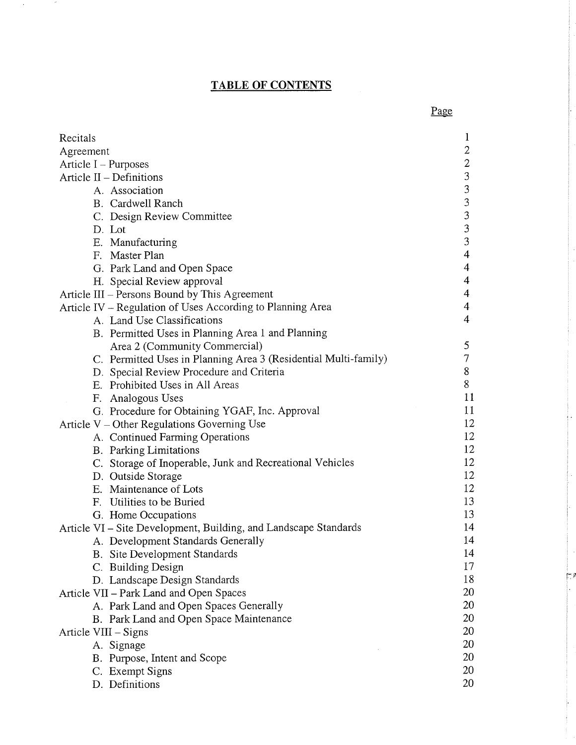## TABLE OF CONTENTS

 $\mathcal{A}^{\pm}$ 

 $\sim 10^6$ 

| Recitals                                                         | $\mathbf 1$             |
|------------------------------------------------------------------|-------------------------|
| Agreement                                                        | 2                       |
| Article $I$ – Purposes                                           | $\overline{c}$          |
| Article $II$ – Definitions                                       | 3                       |
| A. Association                                                   | 3                       |
| B. Cardwell Ranch                                                | 3                       |
| C. Design Review Committee                                       | 3                       |
| D. Lot                                                           | $\overline{\mathbf{3}}$ |
| E. Manufacturing                                                 | 3                       |
| F. Master Plan                                                   | $\overline{4}$          |
| G. Park Land and Open Space                                      | $\overline{4}$          |
| H. Special Review approval                                       | 4                       |
| Article III – Persons Bound by This Agreement                    | 4                       |
| Article IV – Regulation of Uses According to Planning Area       | $\overline{4}$          |
| A. Land Use Classifications                                      | $\overline{4}$          |
| B. Permitted Uses in Planning Area 1 and Planning                |                         |
| Area 2 (Community Commercial)                                    | 5                       |
| C. Permitted Uses in Planning Area 3 (Residential Multi-family)  | $\tau$                  |
| D. Special Review Procedure and Criteria                         | 8                       |
| E. Prohibited Uses in All Areas                                  | 8                       |
| F. Analogous Uses                                                | 11                      |
| G. Procedure for Obtaining YGAF, Inc. Approval                   | 11                      |
| Article V – Other Regulations Governing Use                      | 12                      |
| A. Continued Farming Operations                                  | 12                      |
| <b>B.</b> Parking Limitations                                    | 12                      |
| C. Storage of Inoperable, Junk and Recreational Vehicles         | 12                      |
| D. Outside Storage                                               | 12                      |
| E. Maintenance of Lots                                           | 12                      |
| F. Utilities to be Buried                                        | 13                      |
| G. Home Occupations                                              | 13                      |
| Article VI – Site Development, Building, and Landscape Standards | 14                      |
| A. Development Standards Generally                               | 14                      |
| <b>B.</b> Site Development Standards                             | 14                      |
| C. Building Design                                               | 17                      |
| D. Landscape Design Standards                                    | 18                      |
| Article VII – Park Land and Open Spaces                          | 20                      |
| A. Park Land and Open Spaces Generally                           | 20                      |
| B. Park Land and Open Space Maintenance                          | 20                      |
| Article VIII – Signs                                             | 20                      |
| A. Signage                                                       | 20                      |
| B. Purpose, Intent and Scope                                     | 20                      |
| C. Exempt Signs                                                  | 20                      |
| D. Definitions                                                   | 20                      |

Page

 $\sim$   $\epsilon$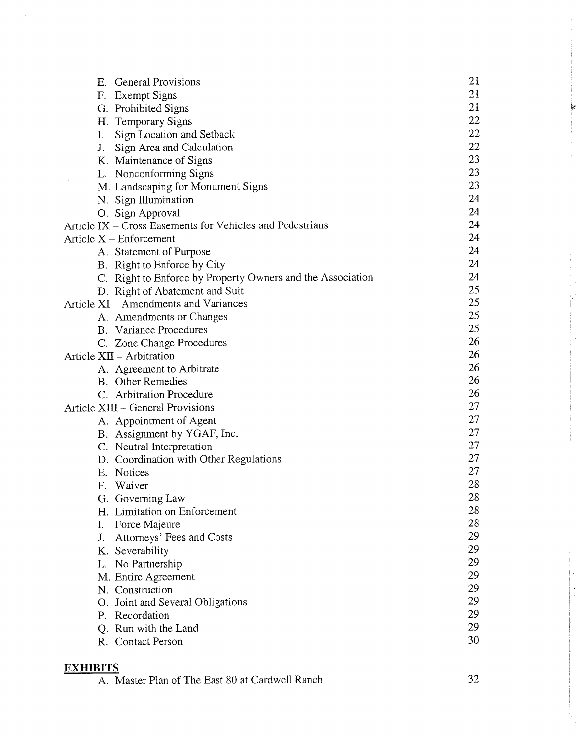| <b>General Provisions</b><br>Е.                            | 21 |
|------------------------------------------------------------|----|
| F. Exempt Signs                                            | 21 |
| G. Prohibited Signs                                        | 21 |
| H. Temporary Signs                                         | 22 |
| Sign Location and Setback<br>I.                            | 22 |
| Sign Area and Calculation<br>J.                            | 22 |
| K. Maintenance of Signs                                    | 23 |
| L. Nonconforming Signs                                     | 23 |
| M. Landscaping for Monument Signs                          | 23 |
| N. Sign Illumination                                       | 24 |
| O. Sign Approval                                           | 24 |
| Article IX – Cross Easements for Vehicles and Pedestrians  | 24 |
| Article $X$ – Enforcement                                  | 24 |
| A. Statement of Purpose                                    | 24 |
| B. Right to Enforce by City                                | 24 |
| C. Right to Enforce by Property Owners and the Association | 24 |
| D. Right of Abatement and Suit                             | 25 |
| Article XI – Amendments and Variances                      | 25 |
| A. Amendments or Changes                                   | 25 |
| <b>B.</b> Variance Procedures                              | 25 |
| C. Zone Change Procedures                                  | 26 |
| Article XII - Arbitration                                  | 26 |
| A. Agreement to Arbitrate                                  | 26 |
| <b>B.</b> Other Remedies                                   | 26 |
| C. Arbitration Procedure                                   | 26 |
| Article XIII - General Provisions                          | 27 |
| A. Appointment of Agent                                    | 27 |
| B. Assignment by YGAF, Inc.                                | 27 |
| C. Neutral Interpretation                                  | 27 |
| D. Coordination with Other Regulations                     | 27 |
| E. Notices                                                 | 27 |
| F. Waiver                                                  | 28 |
| G. Governing Law                                           | 28 |
| H. Limitation on Enforcement                               | 28 |
| Force Majeure<br>Ι.                                        | 28 |
| Attorneys' Fees and Costs<br>J.                            | 29 |
| K. Severability                                            | 29 |
| L. No Partnership                                          | 29 |
| M. Entire Agreement                                        | 29 |
| N. Construction                                            | 29 |
| O. Joint and Several Obligations                           | 29 |
| P. Recordation                                             | 29 |
| Q. Run with the Land                                       | 29 |
| R. Contact Person                                          | 30 |
|                                                            |    |

#### EXHIBITS

 $\chi^2_{\rm max}$  ,  $\chi^2_{\rm max}$ 

A. Master Plan of The East 80 at Cardwell Ranch

32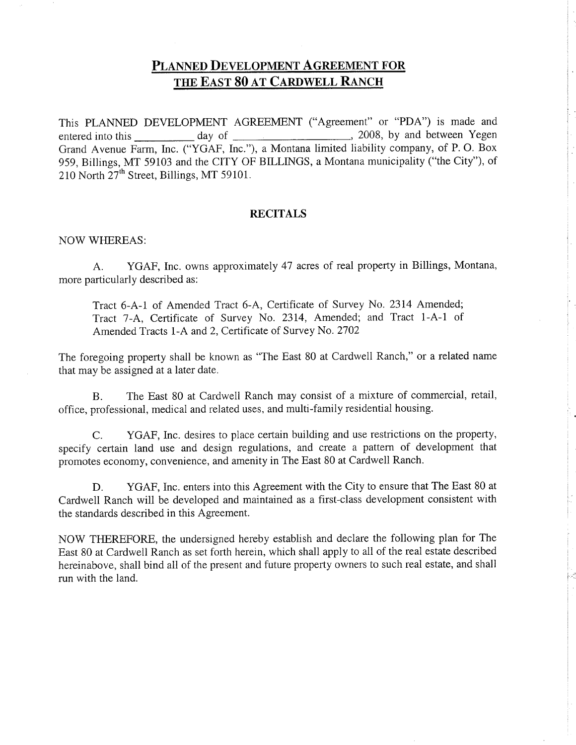## PLANNED DEVELOPMENT AGREEMENT FOR THE EAST 80 AT CARDWELL RANCH

This PLANNED DEVELOPMENT AGREEMENT ("Agreement" or "PDA") is made and entered into this day of  $\qquad$ Grand Avenue Farm, Inc. ("YGAF, Inc."), a Montana limited liability company, of P. O. Box 959, Billings, MT 59103 and the CITY OF BILLINGS, a Montana municipality ("the City"), of 210 North  $27<sup>th</sup>$  Street, Billings, MT 59101. 2008, by and between Yegen

#### **RECITALS**

#### NOW WFIEREAS:

A. YGAF, Inc. owns approximately 47 acres of real property in Billings, Montana, more particularly described as:

Tract 6-A-1 of Amended Tract 6-4, Certificate of Survey No. 2314 Amended; Tract 7-4, Certificate of Survey No. 2314, Amended; and Tract 1-A-1 of Amended Tracts 1-A and 2, Certificate of Survey No.2702

The foregoing property shall be known as "The East 80 at Cardwell Ranch," or a related name that may be assigned at a later date.

B. The East 80 at Cardwell Ranch may consist of a mixture of commercial, retail, office, professional, medical and related uses, and multi-family residential housing.

C. YGAF, Inc. desires to place certain building and use restrictions on the property, specify certain land use and design regulations, and create a pattern of development that promotes economy, convenience, and amenity in The East 80 at Cardwell Ranch.

D. YGAF, Inc. enters into this Agreement with the City to ensure that The East 80 at Cardwell Ranch will be developed and maintained as a first-class development consistent with the standards described in this Agreement.

NOW TIIEREFORE, the undersigned hereby establish and declare the following plan for The East 80 at Cardwell Ranch as set forth herein, which shall apply to all of the real estate described hereinabove, shall bind all of the present and future property owners to such real estate, and shall run with the land.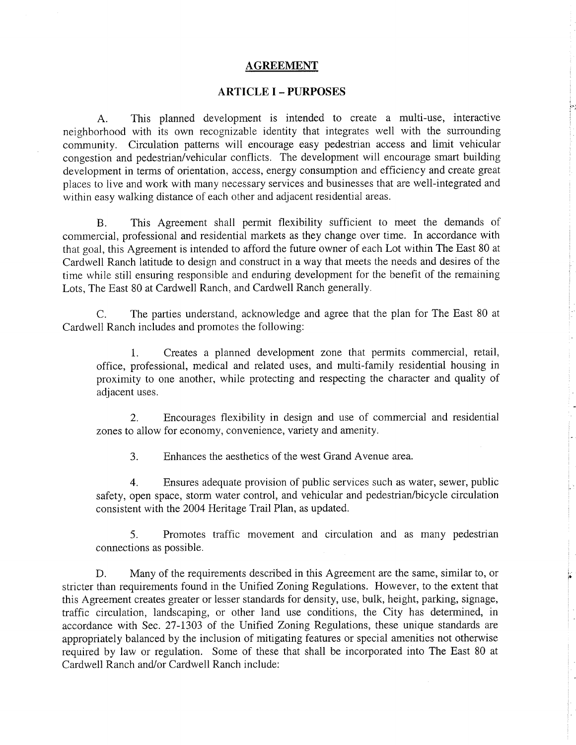#### AGREEMENT

#### ARTICLE I - PURPOSES

A. This planned development is intended to create a multi-use, interactive neighborhood with its own recognizable identity that integrates well with the surrounding community. Circulation patterns will encourage easy pedestrian access and limit vehicular congestion and pedestrian/vehicular conflicts. The development will encourage smart building development in terms of orientation, access, energy consumption and efficiency and create great places to live and work with many necessary services and businesses that are well-integrated and within easy walking distance of each other and adjacent residential areas.

B. This Agreement shall permit flexibility sufficient to meet the demands of commercial, professional and residential markets as they change over time. In accordance with that goal, this Agreement is intended to afford the future owner of each Lot within The East 80 at Cardwell Ranch latitude to design and construct in a way that meets the needs and desires of the time while still ensuring responsible and enduring development for the benefit of the remaining Lots, The East 80 at Cardwell Ranch, and Cardwell Ranch generally.

C. The parties understand, acknowledge and agree that the plan for The East 80 at Cardwell Ranch includes and promotes the following:

1. Creates a planned development zone that permits commercial, retail, office, professional, medical and related uses, and multi-family residential housing in proximity to one another, while protecting and respecting the character and quality of adjacent uses.

2. Encourages flexibility in design and use of commercial and residential zones to allow for economy, convenience, variety and amenity.

3. Enhances the aesthetics of the west Grand Avenue area.

4. Ensures adequate provision of public services such as water, sewer, public safety, open space, storm water control, and vehicular and pedestrian/bicycle circulation consistent with the 2004 Heritage Trail Plan, as updated.

5. Promotes traffic movement and circulation and as many pedestrian connections as possible.

p

D. Many of the requirements described in this Agreement are the same, similar to, or stricter than requirements found in the Unified Zoning Regulations. However, to the extent that this Agreement creates greater or lesser standards for density, use, bulk, height, parking, signage, traffic circulation, landscaping, or other land use conditions, the City has determined, in accordance with Sec. 27-1303 of the Unified Zoning Regulations, these unique standards are appropriately balanced by the inclusion of mitigating features or special amenities not otherwise required by law or regulation. Some of these that shall be incorporated into The East 80 at Cardwell Ranch and/or Cardwell Ranch include: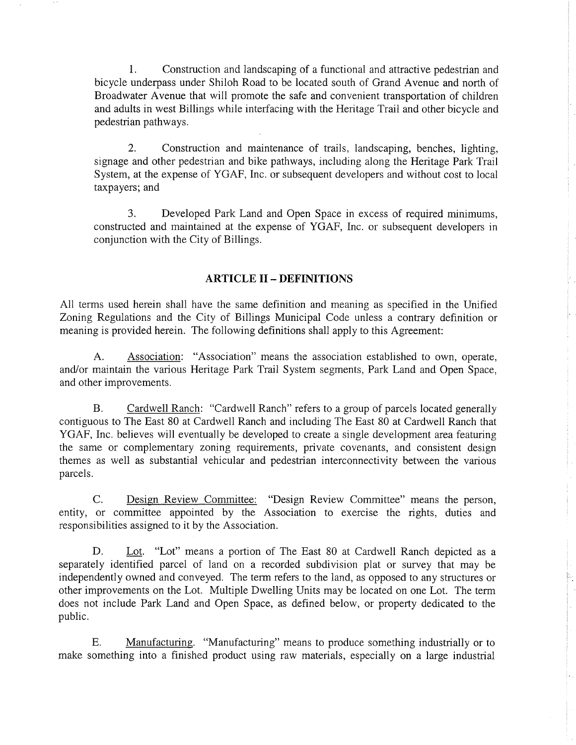l. Construction and landscaping of a functional and attractive pedestrian and bicycle underpass under Shiloh Road to be located south of Grand Avenue and north of Broadwater Avenue that will promote the safe and convenient transportation of children and adults in west Billings while interfacing with the Heritage Trail and other bicycle and pedestrian pathways.

2. Construction and maintenance of trails, landscaping, benches, lighting, signage and other pedestrian and bike pathways, including along the Heritage Park Trail System, at the expense of YGAF, Inc. or subsequent developers and without cost to local taxpayers; and

3. Developed Park Land and Open Space in excess of required minimums, constructed and maintained at the expense of YGAF, Inc. or subsequent developers in conjunction with the City of Billings.

#### ARTICLE II - DEFINITIONS

All terms used herein shall have the same definition and meaning as specified in the Unified Zoning Regulations and the City of Billings Municipal Code unless a contrary definition or meaning is provided herein. The following definitions shall apply to this Agreement:

A. Association: "Association" means the association established to own, operate, and/or maintain the various Heritage Park Trail System segments, Park Land and Open Space,and other improvements.

B. Cardwell Ranch: "Cardwell Ranch" refers to a group of parcels located generally contiguous to The East 80 at Cardwell Ranch and including The East 80 at Cardwell Ranch that YGAF, Inc. believes will eventually be developed to create a single development area featuring the same or complementary zoning requirements, private covenants, and consistent design themes as well as substantial vehicular and pedestrian interconnectivity between the various parcels.

C. Design Review Committee: "Design Review Committee" means the person, entity, or committee appointed by the Association to exercise the rights, duties and responsibilities assigned to it by the Association.

D. Lot. "Lot" means a portion of The East 80 at Cardwell Ranch depicted as <sup>a</sup> separately identified parcel of land on a recorded subdivision plat or survey that may be independently owned and conveyed. The term refers to the land, as opposed to any structures or other improvements on the Lot. Multiple Dwelling Units may be located on one Lot. The term does not include Park Land and Open Space, as defined below, or property dedicated to the public.

E. Manufacturing. "Manufacturing" means to produce something industrially or to make something into a finished product using raw materials, especially on a large industrial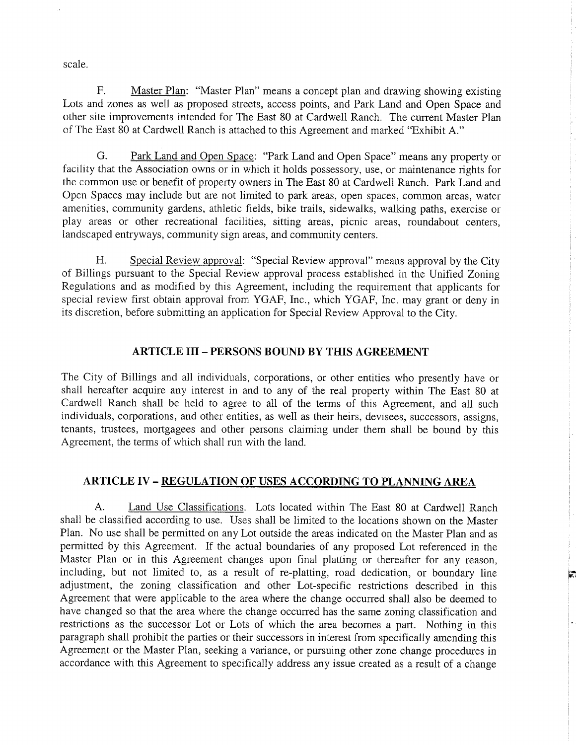scale.

F. Master Plan: "Master Plan" means a concept plan and drawing showing existing Lots and zones as well as proposed streets, access points, and Park Land and Open Space and other site improvements intended for The East 80 at Cardwell Ranch. The current Master Plan of The East 80 at Cardwell Ranch is attached to this Agreement and marked "Exhibit 4."

G. Park Land and Open Space: "Park Land and Open Space" means any propefiy or facility that the Association owns or in which it holds possessory, use, or maintenance rights for the common use or benefit of property owners in The East 80 at Cardwell Ranch. Park Land and Open Spaces may include but are not limited to park areas, open spaces, common areas, water amenities, community gardens, athletic fields, bike trails, sidewalks, walking paths, exercise or play areas or other recreational facilities, sitting areas, picnic areas, roundabout centers, landscaped entryways, community sign areas, and community centers.

H. Special Review approval: "Special Review approval" means approval by the City of Billings pursuant to the Special Review approval process established in the Unified Zoning Regulations and as modified by this Agreement, including the requirement that applicants for special review first obtain approval from YGAF, Inc., which YGAF, Inc. may grant or deny in its discretion, before submitting an application for Special Review Approval to the City.

#### ARTICLE III - PERSONS BOUND BY THIS AGREEMENT

The City of Billings and all individuals, corporations, or other entities who presently have or shall hereafter acquire any interest in and to any of the real property within The East 80 at Cardwell Ranch shall be held to agree to all of the terms of this Agreement, and all such individuals, corporations, and other entities, as well as their heirs, devisees, successors, assigns, tenants, trustees, mortgagees and other persons claiming under them shall be bound by this Agreement, the terms of which shall run with the land.

#### ARTICLE IV - REGULATION OF USES ACCORDING TO PLANNING AREA

A. Land Use Classifications. Lots located within The East 80 at Cardwell Ranch shall be classified according to use. Uses shall be limited to the locations shown on the Master Plan. No use shall be permitted on any Lot outside the areas indicated on the Master Plan and as permitted by this Agreement. If the actual boundaries of any proposed Lot referenced in the Master Plan or in this Agreement changes upon final platting or thereafter for any reason, including, but not limited to, as a result of re-platting, road dedication, or boundary line adjustment, the zoning classification and other Lot-specific restrictions described in this Agreement that were applicable to the area where the change occurred shall also be deemed to have changed so that the area where the change occurred has the same zoning classification and restrictions as the successor Lot or Lots of which the area becomes a part. Nothing in this paragraph shall prohibit the parties or their successors in interest from specitically amending this Agreement or the Master Plan, seeking a variance, or pursuing other zone change procedures in accordance with this Agreement to specifically address any issue created as a result of a change

F,i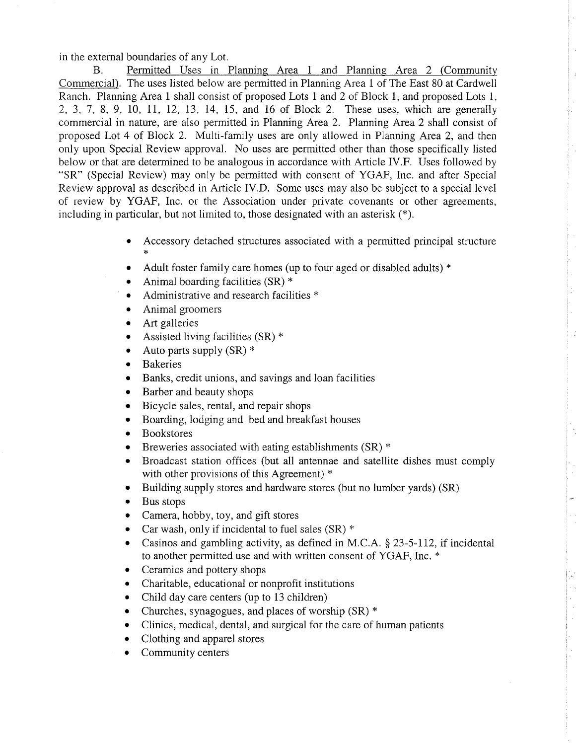in the external boundaries of any Lot.

B. Permitted Uses in Planning Area 1 and Planning Area 2 (Community Commercial). The uses listed below are permitted in Planning Area I of The East 80 at Cardwell Ranch. Planning Area 1 shall consist of proposed Lots 1 and 2 of Block 1, and proposed Lots 1, 2,3, J,8, 9, 10, lI, L2, 13, 14, 15, and 16 of Block 2. These uses, which are generally commercial in nature, are also permitted in Planning Area 2. Planning Area 2 shall consist of proposed Lot 4 of Block 2. Multi-family uses are only allowed in Planning Area 2, and then only upon Special Review approval. No uses are permitted other than those specifically listed below or that are determined to be analogous in accordance with Article IV.F. Uses followed by "SR" (Special Review) may only be permitted with consent of YGAF, Inc. and after Special Review approval as described in Article IV.D. Some uses may also be subject to a special level of review by YGAF, Inc. or the Association under private covenants or other agreements, including in particular, but not limited to, those designated with an asterisk  $(*)$ .

- Accessory detached structures associated with a permitted principal structure
- Adult foster family care homes (up to four aged or disabled adults)  $*$
- Animal boarding facilities  $(SR)$  \*
- Administrative and research facilities \*
- Animal groomers
- Art galleries
- Assisted living facilities  $(SR)$  \*
- Auto parts supply (SR)  $*$
- o Bakeries
- Banks, credit unions, and savings and loan facilities
- Barber and beauty shops
- Bicycle sales, rental, and repair shops
- . Boarding, lodging and bed and breakfast houses
- Bookstores
- Breweries associated with eating establishments (SR)  $*$
- Broadcast station offices (but all antennae and satellite dishes must comply with other provisions of this Agreement) \*
- Building supply stores and hardware stores (but no lumber yards) (SR)
- Bus stops
- Camera, hobby, toy, and gift stores
- Car wash, only if incidental to fuel sales  $(SR)$  \*
- Casinos and gambling activity, as defined in M.C.A.  $\S$  23-5-112, if incidental to another permitted use and with written consent of YGAF, Inc. \*
- Ceramics and pottery shops
- Charitable, educational or nonprofit institutions
- . Child day care centers (up to 13 children)
- Churches, synagogues, and places of worship  $(SR)$  \*
- Clinics, medical, dental, and surgical for the care of human patients
- Clothing and apparel stores
- Community centers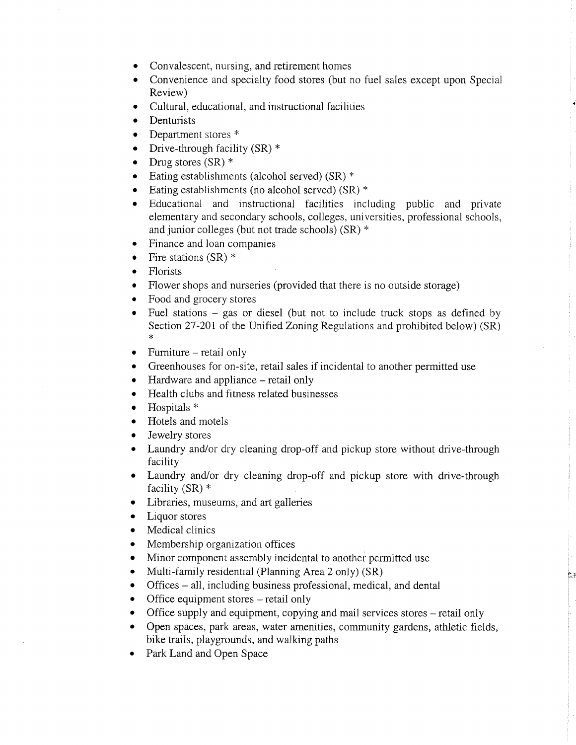- Convalescent, nursing, and retirement homes
- Convenience and specialty food stores (but no fuel sales except upon Special Review)
- o Cultural, educational, and instructional facilities
- Denturists
- Department stores \*
- Drive-through facility  $(SR)$  \*
- Drug stores  $(SR)$  \*
- Eating establishments (alcohol served)  $(SR)$  \*
- Eating establishments (no alcohol served)  $(SR)$  \*
- o Educational and instructional facìlities including public and private elementary and secondary schools, colleges, universities, professional schools, and junior colleges (but not trade schools) (SR) \*
- . Finance and loan companies
- Fire stations  $(SR)$  \*
- Florists
- Flower shops and nurseries (provided that there is no outside storage)
- Food and grocery stores
- Fuel stations  $-$  gas or diesel (but not to include truck stops as defined by Section 27-201 of the Unified Zoning Regulations and prohibited below) (SR)
- $\bullet$  Furniture retail only
- o Greenhouses for on-site, retail sales if incidental to another permitted use
- Hardware and appliance retail only
- o Health clubs and fitness related businesses
- o Hospitals <sup>+</sup>
- Hotels and motels
- Jewelry stores
- Laundry and/or dry cleaning drop-off and pickup store without drive-through facility
- Laundry and/or dry cleaning drop-off and pickup store with drive-through facility  $(SR)$  \*
- o Libraries, museums, and art galleries
- Liquor stores
- Medical clinics
- Membership organization offices
- Minor component assembly incidental to another permitted use
- Multi-family residential (Planning Area 2 only)  $(SR)$
- Offices all, including business professional, medical, and dental
- $\bullet$  Office equipment stores retail only
- . Office supply and equipment, copying and mail services stores retail only
- . Open spaces, park areas, water amenities, community gardens, athletic fields, bike trails, playgrounds, and walking paths

ir ',

. Park Land and Open Space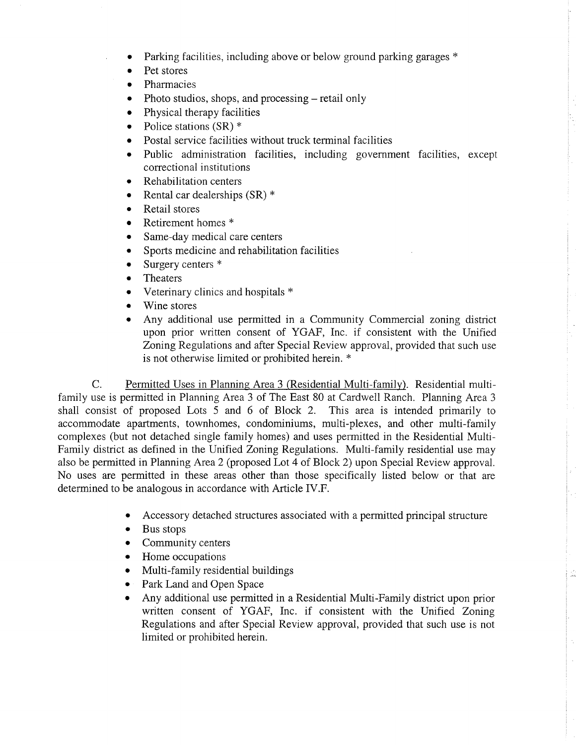- a Parking facilities, including above or below ground parking garages \*
- a Pet stores
- o Pharmacies
- a Photo studios, shops, and processing – retail only
- o Physical therapy facilities
- o Police stations (SR) \*
- a Postal service facilities without truck terminal facilities
- a Public administration facilities, including government facilities, except correctional institutions
- Rehabilitation centers a
- Rental car dealerships (SR) \* a
- Retail stores o
- Retirement homes \* a
- Same-day medical care centers a
- Sports medicine and rehabilitation facilities a
- Surgery centers \* a
- Theaters a
- Veterinary clinics and hospitals \* o
- Wine stores a
- Any additional use permitted in a Community Commercial zoning district upon prior written consent of YGAF, Inc. if consistent with the Unified Zoning Regulations and after Special Review approval, provided that such use is not otherwise limited or prohibited herein. \* a

C. Permitted Uses in Planning Area 3 (Residential Multi-family). Residential multifamily use is permitted in Planning Area 3 of The East 80 at Cardwell Ranch. Planning Area <sup>3</sup> shall consist of proposed Lots 5 and 6 of Block 2. This area is intended primarily to accommodate apartments, townhomes, condominiums, multi-plexes, and other multi-family complexes (but not detached single family homes) and uses permitted in the Residential Multi-Family district as defined in the Unified Zoning Regulations. Multi-family residential use may also be permitted in Planning Area 2 (proposed Lor. 4 of Block 2) upon Special Review approval. No uses are permitted in these areas other than those specifically listed below or that are determined to be analogous in accordance with Article IV.F.

- Accessory detached structures associated with a permitted principal structure
- Bus stops
- Community centers
- Home occupations
- Multi-family residential buildings
- . Park Land and Open Space
- . Any additional use permitted in a Residential Multi-Family district upon prior written consent of YGAF, Inc. if consistent with the Unified Zoning Regulations and after Special Review approval, provided that such use is not limited or prohibited herein.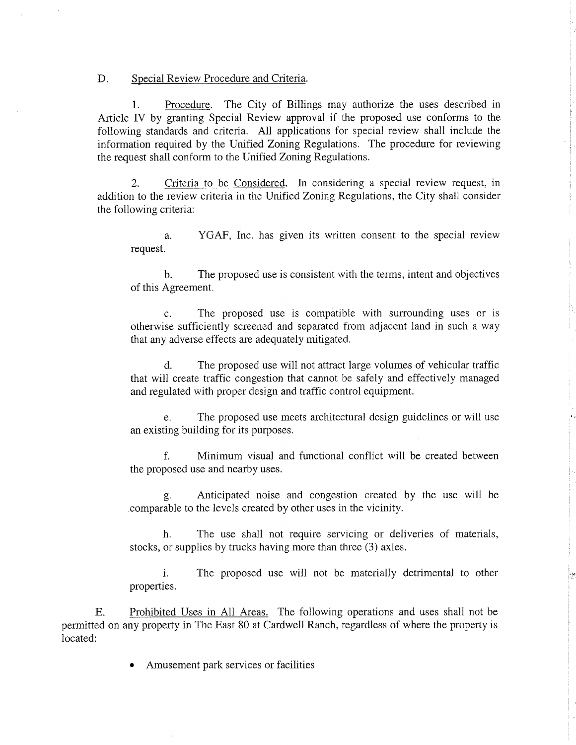D. Special Review Procedure and Criteria.

1. Procedure. The City of Billings may authorize the uses described in Article IV by granting Special Review approval if the proposed use conforms to the following standards and criteria. All applications for special review shall include the information required by the Unified Zoning Regulations. The procedure for reviewing the request shall conform to the Unified Zoning Regulations.

2. Criteria to be Considered. In considering a special review request, in addition to the review criteria in the Unified Zoning Regulations, the City shall consider the following criteria:

a. YGAF, Inc. has given its written consent to the special review request.

b. The proposed use is consistent with the terms, intent and objectives of this Agreement.

c. The proposed use is compatible with surrounding uses or is otherwise sufficiently screened and separated from adjacent land in such a way that any adverse effects are adequately mitigated.

d. The proposed use will not attract large volumes of vehicular traffic that will create traffic congestion that cannot be safely and effectively managed and regulated with proper design and traffic control equipment.

e. The proposed use meets archìtectural design guidelines or will use an existing building for its purposes.

f. Minimum visual and functional conflict will be created between the proposed use and nearby uses.

g. Anticipated noise and congestion created by the use will be comparable to the levels created by other uses in the vicinity.

h. The use shall not require servicing or deliveries of materials, stocks, or supplies by trucks having more than three (3) axles.

i. The proposed use will not be materially detrimental to other properties.

..:

E. Prohibited Uses in All Areas. The following operations and uses shall not be permitted on any property in The East 80 at Cardwell Ranch, regardless of where the property is located:

Amusement park services or facilities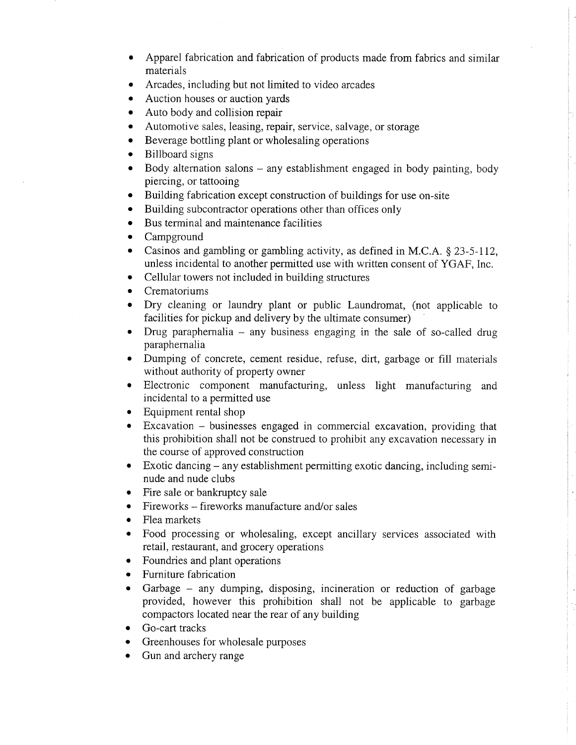- Apparel fabrication and fabrication of products made from fabrics and similar materials
- Arcades, including but not limited to video arcades a
- Auction houses or auction yards a
- Auto body and collision repair a
- Automotive sales, leasing, repair, service, salvage, or storage a
- Beverage bottling plant or wholesaling operations a
- Billboard signs a
- Body alternation salons any establishment engaged in body painting, body piercing, or tattooing a
- Building fabrication except construction of buildings for use on-site a
- Building subcontractor operations other than offices only a
- Bus terminal and maintenance facilities o
- Campground a
- Casinos and gambling or gambling activity, as defined in M.C.A. § 23-5-112, unless incidental to another permitted use with written consent of YGAF, Inc. a
- Cellular towers not included in building structures o
- Crematoriums o
- Dry cleaning or laundry plant or public Laundromat, (not applicable to a facilities for pickup and delivery by the ultimate consumer)
- Drug paraphernalia  $-$  any business engaging in the sale of so-called drug  $\bullet$ paraphernalia
- Dumping of concrete, cement residue, refuse, dirt, garbage or fill materials  $\bullet$ without authority of property owner
- Electronic component manufacturing, unless light manufacturing and incidental to a permitted use
- Equipment rental shop
- Excavation businesses engaged in commercial excavation, providing that this prohibition shall not be construed to prohibit any excavation necessary in the course of approved construction a
- Exotic dancing any establishment permitting exotic dancing, including semi- $\bullet$ nude and nude clubs
- Fire sale or bankruptcy sale o
- Fireworks fireworks manufacture and/or sales a
- Flea markets o
- Food processing or wholesaling, except ancillary services associated with retail, restaurant, and grocery operations  $\bullet$
- Foundries and plant operations o
- Furniture fabrication a
- Garbage any dumping, disposing, incineration or reduction of garbage provided, however this prohibition shall not be applicable to garbage compactors located near the rear of any building a
- Go-cart tracks
- Greenhouses for wholesale purposes a
- Gun and archery range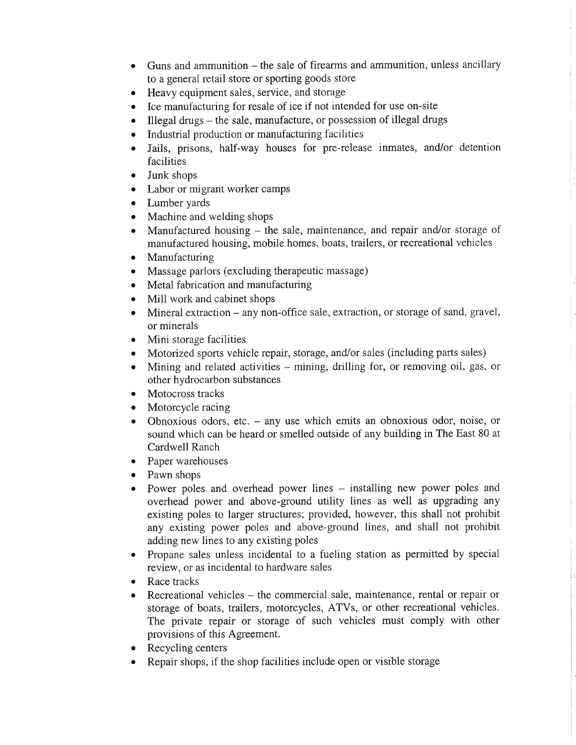- $\bullet$  Guns and ammunition the sale of firearms and ammunition, unless ancillary to a general retail store or sporting goods store
- o Heavy equipment sales, service, and storage
- o Ice manufacturing for resale of ice if not intended for use on-site
- $\bullet$  Illegal drugs the sale, manufacture, or possession of illegal drugs
- Industrial production or manufacturing facilities
- o Jails, prisons, half-way houses for pre-release inmates, and/or detention facilities
- Junk shops
- Labor or migrant worker camps
- Lumber yards
- Machine and welding shops
- . Manufactured housing the sale, maintenance, and repair and/or storage of manufactured housing, mobile homes, boats, trailers, or recreational vehicles
- $\bullet$  Manufacturing
- Massage parlors (excluding therapeutic massage)
- Metal fabrication and manufacturing
- Mill work and cabinet shops
- Mineral extraction any non-office sale, extraction, or storage of sand, gravel, or minerals
- Mini storage facilities
- Motorized sports vehicle repair, storage, and/or sales (including parts sales)
- Mining and related activities mining, drilling for, or removing oil, gas, or other hydrocarbon substances
- Motocross tracks
- Motorcycle racing
- Obnoxious odors, etc.  $-$  any use which emits an obnoxious odor, noise, or sound which can be heard or smelled outside of any building in The East 80 at Cardwell Ranch
- Paper warehouses
- Pawn shops
- Power poles and overhead power lines installing new power poles and overhead power and above-ground utility lines as well as upgrading any existing poles to larger structures; provided, however, this shall not prohibit any existing power poles and above-ground lines, and shall not prohibit adding new lines to any existing poles
- . Propane sales unless incidental to a fueling station as permitted by special review, or as incidental to hardware sales
- Race tracks
- Recreational vehicles the commercial sale, maintenance, rental or repair or storage of boats, trailers, motorcycles, ATVs, or other recreational vehicles. The private repair or storage of such vehicles must comply with other provisions of this Agreement.
- Recycling centers
- Repair shops, if the shop facilities include open or visible storage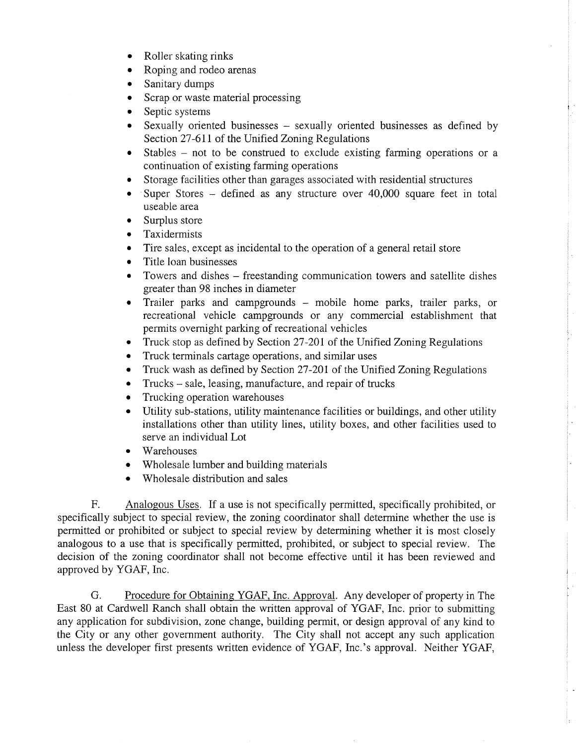- Roller skating rinks
- . Roping and rodeo arenas
- Sanitary dumps
- Scrap or waste material processing
- Septic systems
- Sexually oriented businesses sexually oriented businesses as defined by Section 27-611 of the Unified Zoning Regulations
- o Stables not to be construed to exclude existing farming operations or <sup>a</sup> continuation of existing farming operations
- Storage facilities other than garages associated with residential structures
- Super Stores defined as any structure over  $40,000$  square feet in total useable area
- Surplus store
- Taxidermists
- Tire sales, except as incidental to the operation of a general retail store
- Title loan businesses
- Towers and dishes freestanding communication towers and satellite dishes greater than 98 inches in diameter
- Trailer parks and campgrounds mobile home parks, trailer parks, or recreational vehicle campgrounds or any commercial establishment that permits overnight parking of recreational vehicles
- Truck stop as defined by Section 27-201 of the Unified Zoning Regulations
- Truck terminals cartage operations, and similar uses
- . Truck wash as defined by Section 27-20I of the Unified Zoning Regulations
- Trucks sale, leasing, manufacture, and repair of trucks
- Trucking operation warehouses
- Utility sub-stations, utility maintenance facilities or buildings, and other utility installations other than utility lines, utility boxes, and other facilities used to serve an individual Lot
- Warehouses
- Wholesale lumber and building materials
- Wholesale distribution and sales

F. Analogous Uses. If a use is not specifically permitted, specifically prohibited, or specifically subject to special review, the zoning coordinator shall determine whether the use is permitted or prohibited or subject to special review by determining whether it is most closely analogous to a use that is specifically permitted, prohibited, or subject to special review. The decision of the zoning coordinator shall not become effective until it has been reviewed and approved by YGAF, Inc.

G. Procedure for Obtaining YGAF, Inc. Approval. Any developer of property in The East 80 at Cardwell Ranch shall obtain the written approval of YGAF, Inc. prior to submitting any application for subdivision, zone change, building permit, or design approval of any kind to the City or any other government authority. The City shall not accept any such application unless the developer first presents written evidence of YGAF, Inc.'s approval. Neither YGAF,